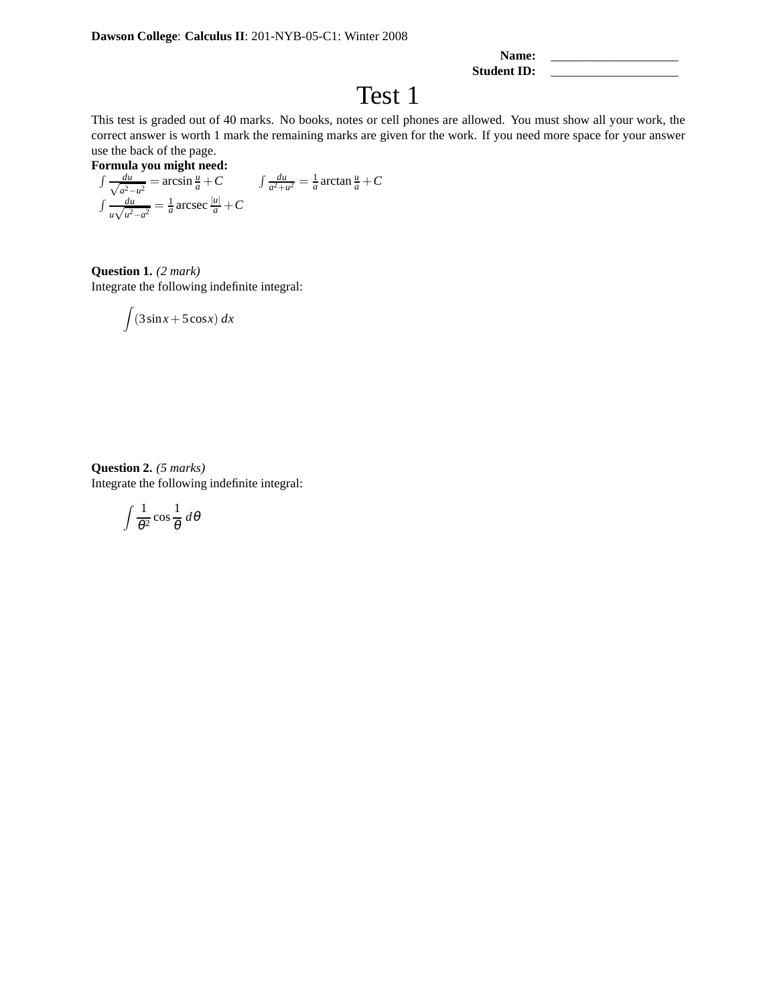| Name:       |  |
|-------------|--|
| Student ID: |  |

## Test 1

This test is graded out of 40 marks. No books, notes or cell phones are allowed. You must show all your work, the correct answer is worth 1 mark the remaining marks are given for the work. If you need more space for your answer use the back of the page.

**Formula you might need:**  
\n
$$
\int \frac{du}{\sqrt{a^2 - u^2}} = \arcsin \frac{u}{a} + C
$$
\n
$$
\int \frac{du}{a^2 + u^2} = \frac{1}{a} \arctan \frac{u}{a} + C
$$
\n
$$
\int \frac{du}{u\sqrt{u^2 - a^2}} = \frac{1}{a} \arccos \frac{|u|}{a} + C
$$

**Question 1.** *(2 mark)* Integrate the following indefinite integral:

$$
\int (3\sin x + 5\cos x) \ dx
$$

**Question 2.** *(5 marks)* Integrate the following indefinite integral:

$$
\int \frac{1}{\theta^2} \cos \frac{1}{\theta} \, d\theta
$$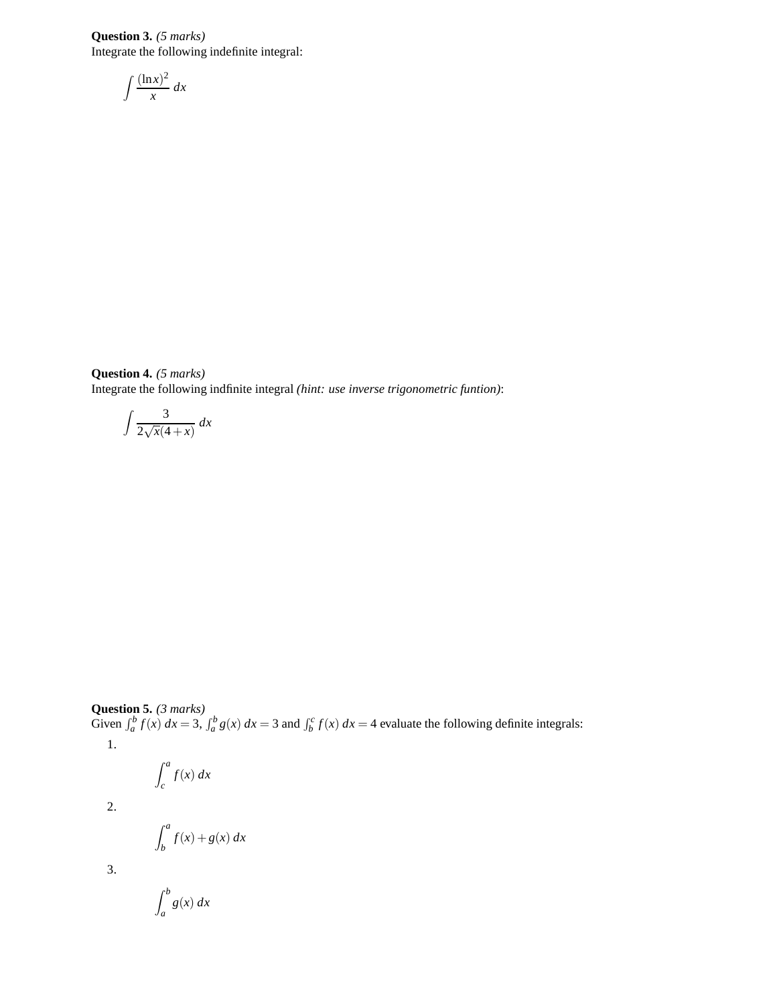**Question 3.** *(5 marks)* Integrate the following indefinite integral:

$$
\int \frac{(\ln x)^2}{x} \, dx
$$

**Question 4.** *(5 marks)* Integrate the following indfinite integral *(hint: use inverse trigonometric funtion)*:

$$
\int \frac{3}{2\sqrt{x}(4+x)} dx
$$

## **Question 5.** *(3 marks)*

Given  $\int_a^b f(x) dx = 3$ ,  $\int_a^b g(x) dx = 3$  and  $\int_b^c f(x) dx = 4$  evaluate the following definite integrals: 1.

$$
\int_c^a f(x) \, dx
$$

2.

$$
\int_b^a f(x) + g(x) \, dx
$$

3.

$$
\int_{a}^{b} g(x) \, dx
$$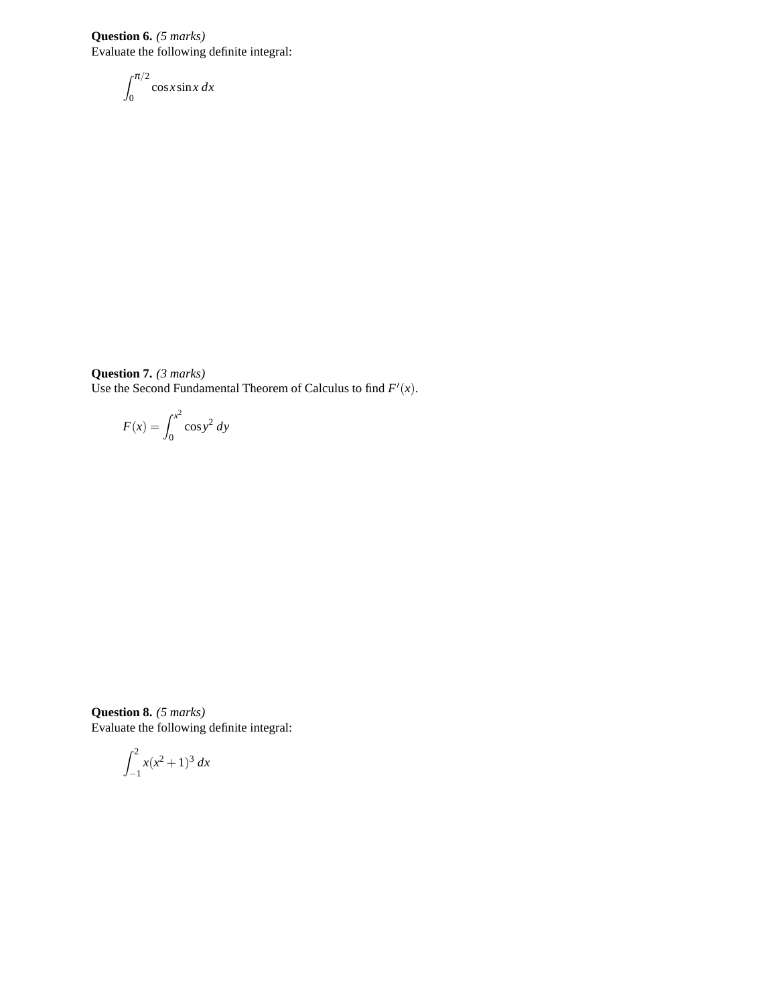**Question 6.** *(5 marks)* Evaluate the following definite integral:

$$
\int_0^{\pi/2} \cos x \sin x \, dx
$$

**Question 7.** *(3 marks)* Use the Second Fundamental Theorem of Calculus to find  $F'(x)$ .

$$
F(x) = \int_0^{x^2} \cos y^2 \, dy
$$

**Question 8.** *(5 marks)* Evaluate the following definite integral:

$$
\int_{-1}^{2} x(x^2 + 1)^3 \, dx
$$